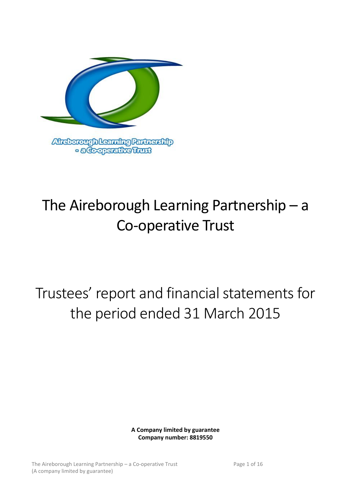

# The Aireborough Learning Partnership – a Co-operative Trust

Trustees' report and financial statements for the period ended 31 March 2015

> **A Company limited by guarantee Company number: 8819550**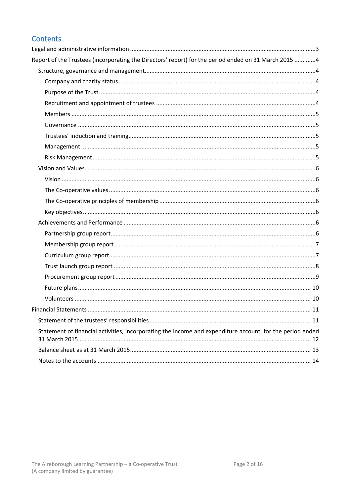# Contents

| Report of the Trustees (incorporating the Directors' report) for the period ended on 31 March 2015 4      |    |
|-----------------------------------------------------------------------------------------------------------|----|
|                                                                                                           |    |
|                                                                                                           |    |
|                                                                                                           |    |
|                                                                                                           |    |
|                                                                                                           |    |
|                                                                                                           |    |
|                                                                                                           |    |
|                                                                                                           |    |
|                                                                                                           |    |
|                                                                                                           |    |
|                                                                                                           |    |
|                                                                                                           |    |
|                                                                                                           |    |
|                                                                                                           |    |
|                                                                                                           |    |
|                                                                                                           |    |
|                                                                                                           |    |
|                                                                                                           |    |
|                                                                                                           |    |
|                                                                                                           |    |
|                                                                                                           |    |
|                                                                                                           |    |
|                                                                                                           | 11 |
|                                                                                                           |    |
| Statement of financial activities, incorporating the income and expenditure account, for the period ended |    |
|                                                                                                           |    |
|                                                                                                           |    |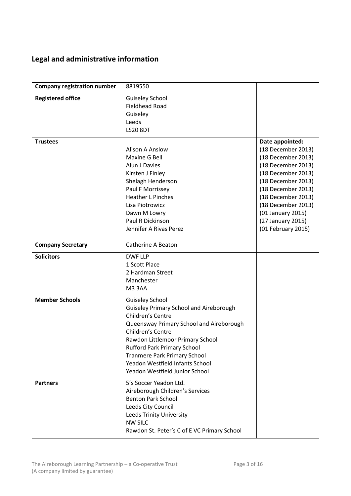# <span id="page-2-0"></span>**Legal and administrative information**

| <b>Company registration number</b> | 8819550                                                                                                                                                                                                                                                                                                                                              |                                                                                                                                                                                                                                                                 |
|------------------------------------|------------------------------------------------------------------------------------------------------------------------------------------------------------------------------------------------------------------------------------------------------------------------------------------------------------------------------------------------------|-----------------------------------------------------------------------------------------------------------------------------------------------------------------------------------------------------------------------------------------------------------------|
| <b>Registered office</b>           | <b>Guiseley School</b><br><b>Fieldhead Road</b><br>Guiseley<br>Leeds<br><b>LS20 8DT</b>                                                                                                                                                                                                                                                              |                                                                                                                                                                                                                                                                 |
| <b>Trustees</b>                    | <b>Alison A Anslow</b><br>Maxine G Bell<br>Alun J Davies<br>Kirsten J Finley<br>Shelagh Henderson<br>Paul F Morrissey<br><b>Heather L Pinches</b><br>Lisa Piotrowicz<br>Dawn M Lowry<br>Paul R Dickinson<br>Jennifer A Rivas Perez                                                                                                                   | Date appointed:<br>(18 December 2013)<br>(18 December 2013)<br>(18 December 2013)<br>(18 December 2013)<br>(18 December 2013)<br>(18 December 2013)<br>(18 December 2013)<br>(18 December 2013)<br>(01 January 2015)<br>(27 January 2015)<br>(01 February 2015) |
| <b>Company Secretary</b>           | <b>Catherine A Beaton</b>                                                                                                                                                                                                                                                                                                                            |                                                                                                                                                                                                                                                                 |
| <b>Solicitors</b>                  | <b>DWF LLP</b><br>1 Scott Place<br>2 Hardman Street<br>Manchester<br>M33AA                                                                                                                                                                                                                                                                           |                                                                                                                                                                                                                                                                 |
| <b>Member Schools</b>              | <b>Guiseley School</b><br><b>Guiseley Primary School and Aireborough</b><br>Children's Centre<br>Queensway Primary School and Aireborough<br>Children's Centre<br>Rawdon Littlemoor Primary School<br><b>Rufford Park Primary School</b><br><b>Tranmere Park Primary School</b><br>Yeadon Westfield Infants School<br>Yeadon Westfield Junior School |                                                                                                                                                                                                                                                                 |
| <b>Partners</b>                    | 5's Soccer Yeadon Ltd.<br>Aireborough Children's Services<br><b>Benton Park School</b><br>Leeds City Council<br><b>Leeds Trinity University</b><br><b>NW SILC</b><br>Rawdon St. Peter's C of E VC Primary School                                                                                                                                     |                                                                                                                                                                                                                                                                 |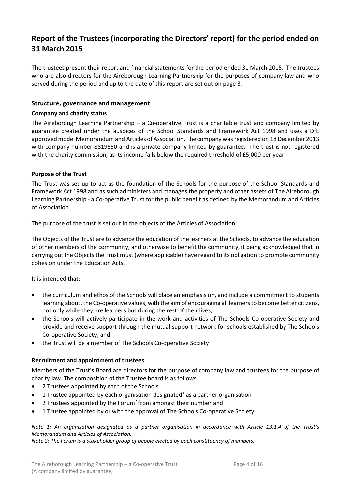# <span id="page-3-0"></span>**Report of the Trustees (incorporating the Directors' report) for the period ended on 31 March 2015**

The trustees present their report and financial statements for the period ended 31 March 2015. The trustees who are also directors for the Aireborough Learning Partnership for the purposes of company law and who served during the period and up to the date of this report are set out on page 3.

# <span id="page-3-1"></span>**Structure, governance and management**

# <span id="page-3-2"></span>**Company and charity status**

The Aireborough Learning Partnership – a Co-operative Trust is a charitable trust and company limited by guarantee created under the auspices of the School Standards and Framework Act 1998 and uses a DfE approved model Memorandum and Articles of Association. The company was registered on 18 December 2013 with company number 8819550 and is a private company limited by guarantee. The trust is not registered with the charity commission, as its income falls below the required threshold of £5,000 per year.

# <span id="page-3-3"></span>**Purpose of the Trust**

The Trust was set up to act as the foundation of the Schools for the purpose of the School Standards and Framework Act 1998 and as such administers and manages the property and other assets of The Aireborough Learning Partnership - a Co-operative Trust for the public benefit as defined by the Memorandum and Articles of Association.

The purpose of the trust is set out in the objects of the Articles of Association:

The Objects of the Trust are to advance the education of the learners at the Schools, to advance the education of other members of the community, and otherwise to benefit the community, it being acknowledged that in carrying out the Objects the Trust must (where applicable) have regard to its obligation to promote community cohesion under the Education Acts.

## It is intended that:

- the curriculum and ethos of the Schools will place an emphasis on, and include a commitment to students learning about, the Co-operative values, with the aim of encouraging all learners to become better citizens, not only while they are learners but during the rest of their lives;
- the Schools will actively participate in the work and activities of The Schools Co-operative Society and provide and receive support through the mutual support network for schools established by The Schools Co-operative Society; and
- the Trust will be a member of The Schools Co-operative Society

# <span id="page-3-4"></span>**Recruitment and appointment of trustees**

Members of the Trust's Board are directors for the purpose of company law and trustees for the purpose of charity law. The composition of the Trustee board is as follows:

- 2 Trustees appointed by each of the Schools
- **•** 1 Trustee appointed by each organisation designated<sup>1</sup> as a partner organisation
- 2 Trustees appointed by the Forum<sup>2</sup> from amongst their number and
- 1 Trustee appointed by or with the approval of The Schools Co-operative Society.

*Note 1: An organisation designated as a partner organisation in accordance with Article 13.1.4 of the Trust's Memorandum and Articles of Association.*

*Note 2: The Forum is a stakeholder group of people elected by each constituency of members.*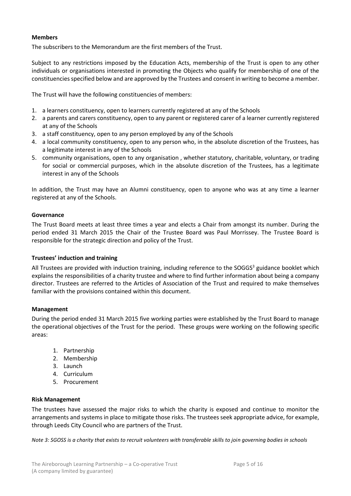# <span id="page-4-0"></span>**Members**

The subscribers to the Memorandum are the first members of the Trust.

Subject to any restrictions imposed by the Education Acts, membership of the Trust is open to any other individuals or organisations interested in promoting the Objects who qualify for membership of one of the constituencies specified below and are approved by the Trustees and consent in writing to become a member.

The Trust will have the following constituencies of members:

- 1. a learners constituency, open to learners currently registered at any of the Schools
- 2. a parents and carers constituency, open to any parent or registered carer of a learner currently registered at any of the Schools
- 3. a staff constituency, open to any person employed by any of the Schools
- 4. a local community constituency, open to any person who, in the absolute discretion of the Trustees, has a legitimate interest in any of the Schools
- 5. community organisations, open to any organisation , whether statutory, charitable, voluntary, or trading for social or commercial purposes, which in the absolute discretion of the Trustees, has a legitimate interest in any of the Schools

In addition, the Trust may have an Alumni constituency, open to anyone who was at any time a learner registered at any of the Schools.

# <span id="page-4-1"></span>**Governance**

The Trust Board meets at least three times a year and elects a Chair from amongst its number. During the period ended 31 March 2015 the Chair of the Trustee Board was Paul Morrissey. The Trustee Board is responsible for the strategic direction and policy of the Trust.

## <span id="page-4-2"></span>**Trustees' induction and training**

All Trustees are provided with induction training, including reference to the SOGGS<sup>3</sup> guidance booklet which explains the responsibilities of a charity trustee and where to find further information about being a company director. Trustees are referred to the Articles of Association of the Trust and required to make themselves familiar with the provisions contained within this document.

## <span id="page-4-3"></span>**Management**

During the period ended 31 March 2015 five working parties were established by the Trust Board to manage the operational objectives of the Trust for the period. These groups were working on the following specific areas:

- 1. Partnership
- 2. Membership
- 3. Launch
- 4. Curriculum
- 5. Procurement

## <span id="page-4-4"></span>**Risk Management**

The trustees have assessed the major risks to which the charity is exposed and continue to monitor the arrangements and systems in place to mitigate those risks. The trustees seek appropriate advice, for example, through Leeds City Council who are partners of the Trust.

*Note 3: SGOSS is a charity that exists to recruit volunteers with transferable skills to join governing bodies in schools*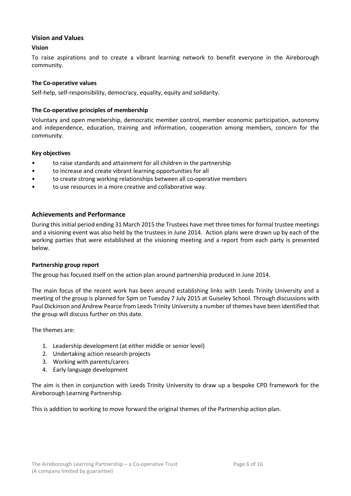# <span id="page-5-0"></span>**Vision and Values**

# <span id="page-5-1"></span>**Vision**

To raise aspirations and to create a vibrant learning network to benefit everyone in the Aireborough community.

# <span id="page-5-2"></span>**The Co-operative values**

Self-help, self-responsibility, democracy, equality, equity and solidarity.

# <span id="page-5-3"></span>**The Co-operative principles of membership**

Voluntary and open membership, democratic member control, member economic participation, autonomy and independence, education, training and information, cooperation among members, concern for the community.

## <span id="page-5-4"></span>**Key objectives**

- to raise standards and attainment for all children in the partnership
- to increase and create vibrant learning opportunities for all
- to create strong working relationships between all co-operative members
- to use resources in a more creative and collaborative way.

# <span id="page-5-5"></span>**Achievements and Performance**

During this initial period ending 31 March 2015 the Trustees have met three times for formal trustee meetings and a visioning event was also held by the trustees in June 2014. Action plans were drawn up by each of the working parties that were established at the visioning meeting and a report from each party is presented below.

## <span id="page-5-6"></span>**Partnership group report**

The group has focused itself on the action plan around partnership produced in June 2014.

The main focus of the recent work has been around establishing links with Leeds Trinity University and a meeting of the group is planned for 5pm on Tuesday 7 July 2015 at Guiseley School. Through discussions with Paul Dickinson and Andrew Pearce from Leeds Trinity University a number of themes have been identified that the group will discuss further on this date.

The themes are:

- 1. Leadership development (at either middle or senior level)
- 2. Undertaking action research projects
- 3. Working with parents/carers
- 4. Early language development

The aim is then in conjunction with Leeds Trinity University to draw up a bespoke CPD framework for the Aireborough Learning Partnership.

This is addition to working to move forward the original themes of the Partnership action plan.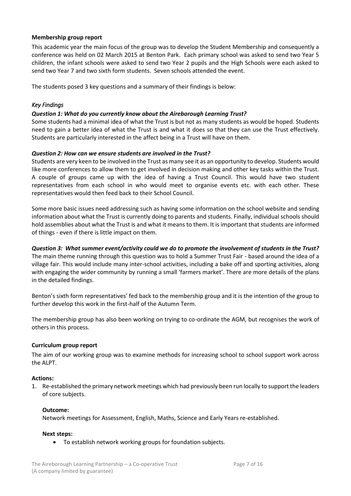# <span id="page-6-0"></span>**Membership group report**

This academic year the main focus of the group was to develop the Student Membership and consequently a conference was held on 02 March 2015 at Benton Park. Each primary school was asked to send two Year 5 children, the infant schools were asked to send two Year 2 pupils and the High Schools were each asked to send two Year 7 and two sixth form students. Seven schools attended the event.

The students posed 3 key questions and a summary of their findings is below:

# *Key Findings*

# *Question 1: What do you currently know about the Aireborough Learning Trust?*

Some students had a minimal idea of what the Trust is but not as many students as would be hoped. Students need to gain a better idea of what the Trust is and what it does so that they can use the Trust effectively. Students are particularly interested in the affect being in a Trust will have on them.

# *Question 2: How can we ensure students are involved in the Trust?*

Students are very keen to be involved in the Trust as many see it as an opportunity to develop. Students would like more conferences to allow them to get involved in decision making and other key tasks within the Trust. A couple of groups came up with the idea of having a Trust Council. This would have two student representatives from each school in who would meet to organise events etc. with each other. These representatives would then feed back to their School Council.

Some more basic issues need addressing such as having some information on the school website and sending information about what the Trust is currently doing to parents and students. Finally, individual schools should hold assemblies about what the Trust is and what it means to them. It is important that students are informed of things - even if there is little impact on them.

*Question 3: What summer event/activity could we do to promote the involvement of students in the Trust?* The main theme running through this question was to hold a Summer Trust Fair - based around the idea of a village fair. This would include many inter-school activities, including a bake off and sporting activities, along with engaging the wider community by running a small 'farmers market'. There are more details of the plans in the detailed findings.

Benton's sixth form representatives' fed back to the membership group and it is the intention of the group to further develop this work in the first-half of the Autumn Term.

The membership group has also been working on trying to co-ordinate the AGM, but recognises the work of others in this process.

## <span id="page-6-1"></span>**Curriculum group report**

The aim of our working group was to examine methods for increasing school to school support work across the ALPT.

## **Actions:**

1. Re-established the primary network meetings which had previously been run locally to support the leaders of core subjects.

## **Outcome:**

Network meetings for Assessment, English, Maths, Science and Early Years re-established.

## **Next steps:**

To establish network working groups for foundation subjects.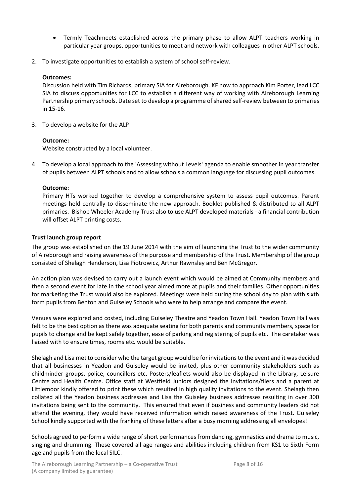- Termly Teachmeets established across the primary phase to allow ALPT teachers working in particular year groups, opportunities to meet and network with colleagues in other ALPT schools.
- 2. To investigate opportunities to establish a system of school self-review.

# **Outcomes:**

Discussion held with Tim Richards, primary SIA for Aireborough. KF now to approach Kim Porter, lead LCC SIA to discuss opportunities for LCC to establish a different way of working with Aireborough Learning Partnership primary schools. Date set to develop a programme of shared self-review between to primaries in 15-16.

3. To develop a website for the ALP

# **Outcome:**

Website constructed by a local volunteer.

4. To develop a local approach to the 'Assessing without Levels' agenda to enable smoother in year transfer of pupils between ALPT schools and to allow schools a common language for discussing pupil outcomes.

# **Outcome:**

Primary HTs worked together to develop a comprehensive system to assess pupil outcomes. Parent meetings held centrally to disseminate the new approach. Booklet published & distributed to all ALPT primaries. Bishop Wheeler Academy Trust also to use ALPT developed materials - a financial contribution will offset ALPT printing costs.

# <span id="page-7-0"></span>**Trust launch group report**

The group was established on the 19 June 2014 with the aim of launching the Trust to the wider community of Aireborough and raising awareness of the purpose and membership of the Trust. Membership of the group consisted of Shelagh Henderson, Lisa Piotrowicz, Arthur Rawnsley and Ben McGregor.

An action plan was devised to carry out a launch event which would be aimed at Community members and then a second event for late in the school year aimed more at pupils and their families. Other opportunities for marketing the Trust would also be explored. Meetings were held during the school day to plan with sixth form pupils from Benton and Guiseley Schools who were to help arrange and compare the event.

Venues were explored and costed, including Guiseley Theatre and Yeadon Town Hall. Yeadon Town Hall was felt to be the best option as there was adequate seating for both parents and community members, space for pupils to change and be kept safely together, ease of parking and registering of pupils etc. The caretaker was liaised with to ensure times, rooms etc. would be suitable.

Shelagh and Lisa met to consider who the target group would be for invitations to the event and it was decided that all businesses in Yeadon and Guiseley would be invited, plus other community stakeholders such as childminder groups, police, councillors etc. Posters/leaflets would also be displayed in the Library, Leisure Centre and Health Centre. Office staff at Westfield Juniors designed the invitations/fliers and a parent at Littlemoor kindly offered to print these which resulted in high quality invitations to the event. Shelagh then collated all the Yeadon business addresses and Lisa the Guiseley business addresses resulting in over 300 invitations being sent to the community. This ensured that even if business and community leaders did not attend the evening, they would have received information which raised awareness of the Trust. Guiseley School kindly supported with the franking of these letters after a busy morning addressing all envelopes!

Schools agreed to perform a wide range of short performances from dancing, gymnastics and drama to music, singing and drumming. These covered all age ranges and abilities including children from KS1 to Sixth Form age and pupils from the local SILC.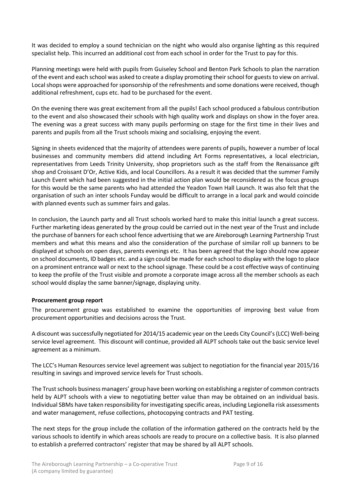It was decided to employ a sound technician on the night who would also organise lighting as this required specialist help. This incurred an additional cost from each school in order for the Trust to pay for this.

Planning meetings were held with pupils from Guiseley School and Benton Park Schools to plan the narration of the event and each school was asked to create a display promoting their school for guests to view on arrival. Local shops were approached for sponsorship of the refreshments and some donations were received, though additional refreshment, cups etc. had to be purchased for the event.

On the evening there was great excitement from all the pupils! Each school produced a fabulous contribution to the event and also showcased their schools with high quality work and displays on show in the foyer area. The evening was a great success with many pupils performing on stage for the first time in their lives and parents and pupils from all the Trust schools mixing and socialising, enjoying the event.

Signing in sheets evidenced that the majority of attendees were parents of pupils, however a number of local businesses and community members did attend including Art Forms representatives, a local electrician, representatives from Leeds Trinity University, shop proprietors such as the staff from the Renaissance gift shop and Croissant D'Or, Active Kids, and local Councillors. As a result it was decided that the summer Family Launch Event which had been suggested in the initial action plan would be reconsidered as the focus groups for this would be the same parents who had attended the Yeadon Town Hall Launch. It was also felt that the organisation of such an inter schools Funday would be difficult to arrange in a local park and would coincide with planned events such as summer fairs and galas.

In conclusion, the Launch party and all Trust schools worked hard to make this initial launch a great success. Further marketing ideas generated by the group could be carried out in the next year of the Trust and include the purchase of banners for each school fence advertising that we are Aireborough Learning Partnership Trust members and what this means and also the consideration of the purchase of similar roll up banners to be displayed at schools on open days, parents evenings etc. It has been agreed that the logo should now appear on school documents, ID badges etc. and a sign could be made for each school to display with the logo to place on a prominent entrance wall or next to the school signage. These could be a cost effective ways of continuing to keep the profile of the Trust visible and promote a corporate image across all the member schools as each school would display the same banner/signage, displaying unity.

## <span id="page-8-0"></span>**Procurement group report**

The procurement group was established to examine the opportunities of improving best value from procurement opportunities and decisions across the Trust.

A discount was successfully negotiated for 2014/15 academic year on the Leeds City Council's (LCC) Well-being service level agreement. This discount will continue, provided all ALPT schools take out the basic service level agreement as a minimum.

The LCC's Human Resources service level agreement was subject to negotiation for the financial year 2015/16 resulting in savings and improved service levels for Trust schools.

The Trust schools business managers' group have been working on establishing a register of common contracts held by ALPT schools with a view to negotiating better value than may be obtained on an individual basis. Individual SBMs have taken responsibility for investigating specific areas, including Legionella risk assessments and water management, refuse collections, photocopying contracts and PAT testing.

The next steps for the group include the collation of the information gathered on the contracts held by the various schools to identify in which areas schools are ready to procure on a collective basis. It is also planned to establish a preferred contractors' register that may be shared by all ALPT schools.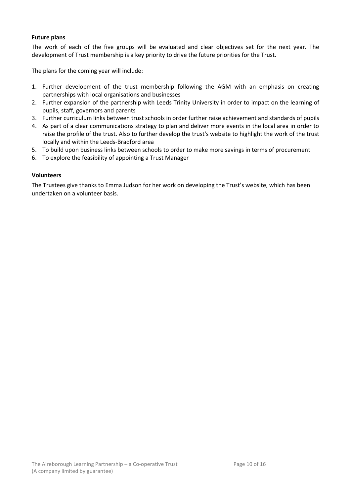# <span id="page-9-0"></span>**Future plans**

The work of each of the five groups will be evaluated and clear objectives set for the next year. The development of Trust membership is a key priority to drive the future priorities for the Trust.

The plans for the coming year will include:

- 1. Further development of the trust membership following the AGM with an emphasis on creating partnerships with local organisations and businesses
- 2. Further expansion of the partnership with Leeds Trinity University in order to impact on the learning of pupils, staff, governors and parents
- 3. Further curriculum links between trust schools in order further raise achievement and standards of pupils
- 4. As part of a clear communications strategy to plan and deliver more events in the local area in order to raise the profile of the trust. Also to further develop the trust's website to highlight the work of the trust locally and within the Leeds-Bradford area
- 5. To build upon business links between schools to order to make more savings in terms of procurement
- 6. To explore the feasibility of appointing a Trust Manager

## <span id="page-9-1"></span>**Volunteers**

The Trustees give thanks to Emma Judson for her work on developing the Trust's website, which has been undertaken on a volunteer basis.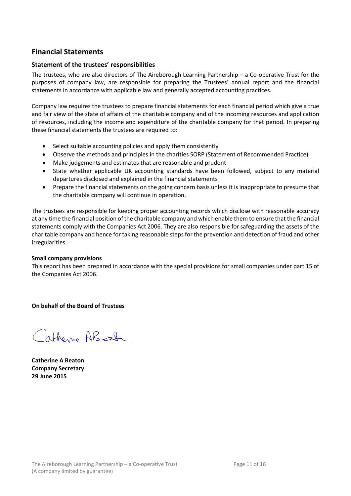# <span id="page-10-0"></span>**Financial Statements**

# <span id="page-10-1"></span>**Statement of the trustees' responsibilities**

The trustees, who are also directors of The Aireborough Learning Partnership – a Co-operative Trust for the purposes of company law, are responsible for preparing the Trustees' annual report and the financial statements in accordance with applicable law and generally accepted accounting practices.

Company law requires the trustees to prepare financial statements for each financial period which give a true and fair view of the state of affairs of the charitable company and of the incoming resources and application of resources, including the income and expenditure of the charitable company for that period. In preparing these financial statements the trustees are required to:

- Select suitable accounting policies and apply them consistently
- Observe the methods and principles in the charities SORP (Statement of Recommended Practice)
- Make judgements and estimates that are reasonable and prudent
- State whether applicable UK accounting standards have been followed, subject to any material departures disclosed and explained in the financial statements
- Prepare the financial statements on the going concern basis unless it is inappropriate to presume that the charitable company will continue in operation.

The trustees are responsible for keeping proper accounting records which disclose with reasonable accuracy at any time the financial position of the charitable company and which enable them to ensure that the financial statements comply with the Companies Act 2006. They are also responsible for safeguarding the assets of the charitable company and hence for taking reasonable steps for the prevention and detection of fraud and other irregularities.

# **Small company provisions**

This report has been prepared in accordance with the special provisions for small companies under part 15 of the Companies Act 2006.

**On behalf of the Board of Trustees**

Catherine ABcton

**Catherine A Beaton Company Secretary 29 June 2015**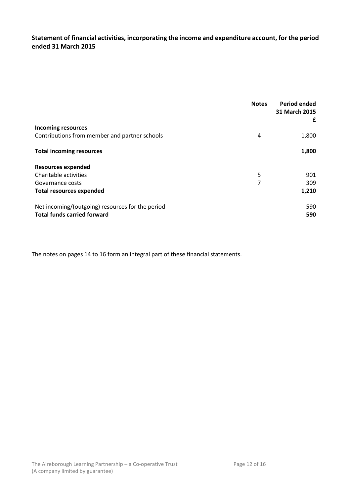# <span id="page-11-0"></span>**Statement of financial activities, incorporating the income and expenditure account, for the period ended 31 March 2015**

|                                                  | <b>Notes</b> | Period ended<br>31 March 2015<br>£ |
|--------------------------------------------------|--------------|------------------------------------|
| <b>Incoming resources</b>                        |              |                                    |
| Contributions from member and partner schools    | 4            | 1,800                              |
| <b>Total incoming resources</b>                  |              | 1,800                              |
| <b>Resources expended</b>                        |              |                                    |
| Charitable activities                            | 5            | 901                                |
| Governance costs                                 | 7            | 309                                |
| <b>Total resources expended</b>                  |              | 1,210                              |
| Net incoming/(outgoing) resources for the period |              | 590                                |
| <b>Total funds carried forward</b>               |              | 590                                |

The notes on pages 14 to 16 form an integral part of these financial statements.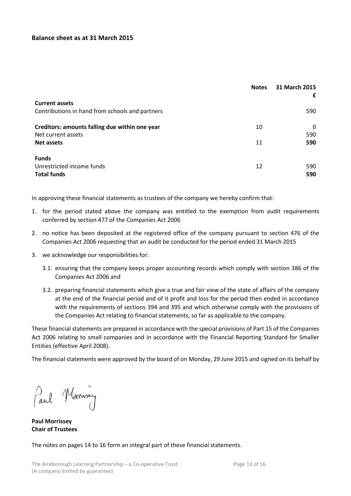# <span id="page-12-0"></span>**Balance sheet as at 31 March 2015**

|                                                 | <b>Notes</b> | 31 March 2015<br>£ |
|-------------------------------------------------|--------------|--------------------|
| <b>Current assets</b>                           |              |                    |
| Contributions in hand from schools and partners |              | 590                |
| Creditors: amounts falling due within one year  | 10           | 0                  |
| Net current assets                              |              | 590                |
| <b>Net assets</b>                               | 11           | 590                |
| <b>Funds</b>                                    |              |                    |
| Unrestricted income funds<br><b>Total funds</b> | 12           | 590<br>590         |

In approving these financial statements as trustees of the company we hereby confirm that:

- 1. for the period stated above the company was entitled to the exemption from audit requirements conferred by section 477 of the Companies Act 2006
- 2. no notice has been deposited at the registered office of the company pursuant to section 476 of the Companies Act 2006 requesting that an audit be conducted for the period ended 31 March 2015
- 3. we acknowledge our responsibilities for:
	- 3.1. ensuring that the company keeps proper accounting records which comply with section 386 of the Companies Act 2006 and
	- 3.2. preparing financial statements which give a true and fair view of the state of affairs of the company at the end of the financial period and of it profit and loss for the period then ended in accordance with the requirements of sections 394 and 395 and which otherwise comply with the provisions of the Companies Act relating to financial statements, so far as applicable to the company.

These financial statements are prepared in accordance with the special provisions of Part 15 of the Companies Act 2006 relating to small companies and in accordance with the Financial Reporting Standard for Smaller Entities (effective April 2008).

The financial statements were approved by the board of on Monday, 29 June 2015 and signed on its behalf by

Paul Mornisey

**Paul Morrissey Chair of Trustees**

The notes on pages 14 to 16 form an integral part of these financial statements.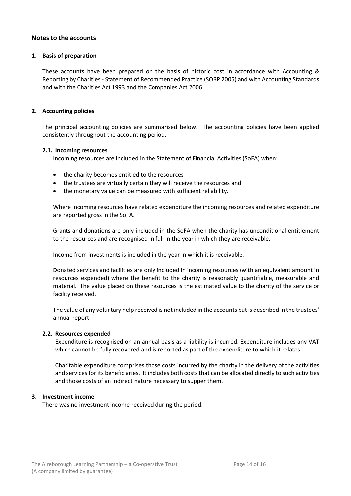# <span id="page-13-0"></span>**Notes to the accounts**

### **1. Basis of preparation**

These accounts have been prepared on the basis of historic cost in accordance with Accounting & Reporting by Charities - Statement of Recommended Practice (SORP 2005) and with Accounting Standards and with the Charities Act 1993 and the Companies Act 2006.

## **2. Accounting policies**

The principal accounting policies are summarised below. The accounting policies have been applied consistently throughout the accounting period.

#### **2.1. Incoming resources**

Incoming resources are included in the Statement of Financial Activities (SoFA) when:

- the charity becomes entitled to the resources
- the trustees are virtually certain they will receive the resources and
- the monetary value can be measured with sufficient reliability.

Where incoming resources have related expenditure the incoming resources and related expenditure are reported gross in the SoFA.

Grants and donations are only included in the SoFA when the charity has unconditional entitlement to the resources and are recognised in full in the year in which they are receivable.

Income from investments is included in the year in which it is receivable.

Donated services and facilities are only included in incoming resources (with an equivalent amount in resources expended) where the benefit to the charity is reasonably quantifiable, measurable and material. The value placed on these resources is the estimated value to the charity of the service or facility received.

The value of any voluntary help received is not included in the accounts but is described in the trustees' annual report.

## **2.2. Resources expended**

Expenditure is recognised on an annual basis as a liability is incurred. Expenditure includes any VAT which cannot be fully recovered and is reported as part of the expenditure to which it relates.

Charitable expenditure comprises those costs incurred by the charity in the delivery of the activities and services for its beneficiaries. It includes both costs that can be allocated directly to such activities and those costs of an indirect nature necessary to supper them.

## **3. Investment income**

There was no investment income received during the period.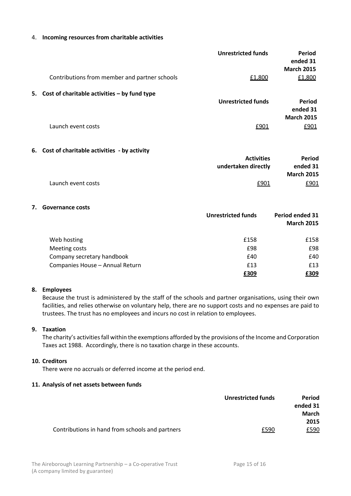#### 4. **Incoming resources from charitable activities**

|    | Contributions from member and partner schools   | <b>Unrestricted funds</b><br>£1,800      | <b>Period</b><br>ended 31<br><b>March 2015</b><br>£1,800 |
|----|-------------------------------------------------|------------------------------------------|----------------------------------------------------------|
|    | 5. Cost of charitable activities - by fund type | <b>Unrestricted funds</b>                | Period<br>ended 31                                       |
|    | Launch event costs                              | £901                                     | <b>March 2015</b><br>£901                                |
|    | 6. Cost of charitable activities - by activity  | <b>Activities</b><br>undertaken directly | <b>Period</b><br>ended 31                                |
|    | Launch event costs                              | £901                                     | <b>March 2015</b><br>£901                                |
| 7. | <b>Governance costs</b>                         | <b>Unrestricted funds</b>                | Period ended 31<br><b>March 2015</b>                     |
|    | Web hosting<br>Meeting costs                    | £158<br>£98                              | £158<br>£98                                              |
|    | Company secretary handbook                      | £40                                      | £40                                                      |
|    | Companies House - Annual Return                 | £13                                      | £13                                                      |
|    |                                                 | £309                                     | £309                                                     |

## **8. Employees**

Because the trust is administered by the staff of the schools and partner organisations, using their own facilities, and relies otherwise on voluntary help, there are no support costs and no expenses are paid to trustees. The trust has no employees and incurs no cost in relation to employees.

## **9. Taxation**

The charity's activities fall within the exemptions afforded by the provisions of the Income and Corporation Taxes act 1988. Accordingly, there is no taxation charge in these accounts.

#### **10. Creditors**

There were no accruals or deferred income at the period end.

## **11. Analysis of net assets between funds**

|                                                 | <b>Unrestricted funds</b> | <b>Period</b> |
|-------------------------------------------------|---------------------------|---------------|
|                                                 |                           | ended 31      |
|                                                 |                           | March         |
|                                                 |                           | 2015          |
| Contributions in hand from schools and partners | £590                      | £590          |